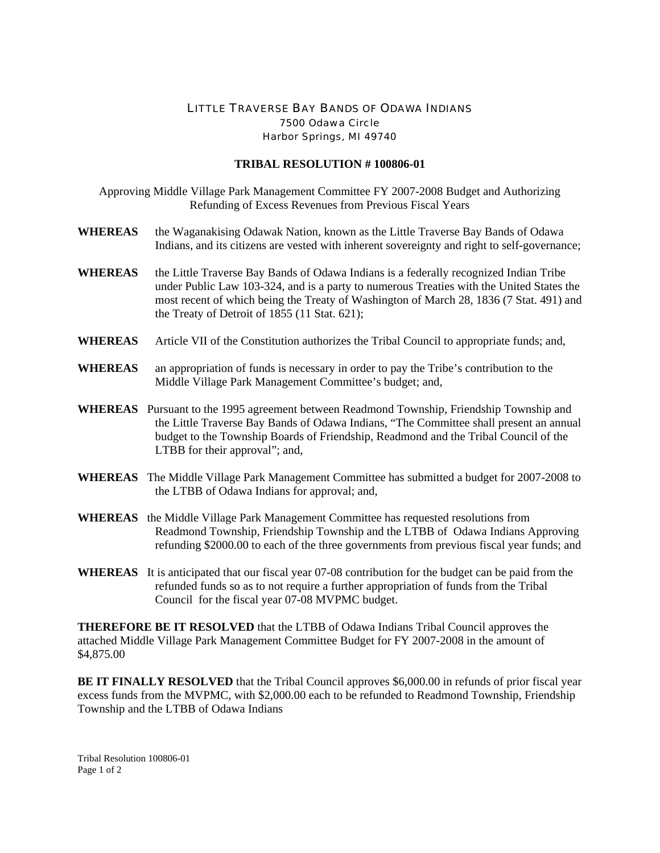## LITTLE TRAVERSE BAY BANDS OF ODAWA INDIANS 7500 Odawa Circle Harbor Springs, MI 49740

## **TRIBAL RESOLUTION # 100806-01**

Approving Middle Village Park Management Committee FY 2007-2008 Budget and Authorizing Refunding of Excess Revenues from Previous Fiscal Years

- **WHEREAS** the Waganakising Odawak Nation, known as the Little Traverse Bay Bands of Odawa Indians, and its citizens are vested with inherent sovereignty and right to self-governance;
- **WHEREAS** the Little Traverse Bay Bands of Odawa Indians is a federally recognized Indian Tribe under Public Law 103-324, and is a party to numerous Treaties with the United States the most recent of which being the Treaty of Washington of March 28, 1836 (7 Stat. 491) and the Treaty of Detroit of 1855 (11 Stat. 621);
- **WHEREAS** Article VII of the Constitution authorizes the Tribal Council to appropriate funds; and,
- **WHEREAS** an appropriation of funds is necessary in order to pay the Tribe's contribution to the Middle Village Park Management Committee's budget; and,
- **WHEREAS** Pursuant to the 1995 agreement between Readmond Township, Friendship Township and the Little Traverse Bay Bands of Odawa Indians, "The Committee shall present an annual budget to the Township Boards of Friendship, Readmond and the Tribal Council of the LTBB for their approval"; and,
- **WHEREAS** The Middle Village Park Management Committee has submitted a budget for 2007-2008 to the LTBB of Odawa Indians for approval; and,
- **WHEREAS** the Middle Village Park Management Committee has requested resolutions from Readmond Township, Friendship Township and the LTBB of Odawa Indians Approving refunding \$2000.00 to each of the three governments from previous fiscal year funds; and
- **WHEREAS** It is anticipated that our fiscal year 07-08 contribution for the budget can be paid from the refunded funds so as to not require a further appropriation of funds from the Tribal Council for the fiscal year 07-08 MVPMC budget.

**THEREFORE BE IT RESOLVED** that the LTBB of Odawa Indians Tribal Council approves the attached Middle Village Park Management Committee Budget for FY 2007-2008 in the amount of \$4,875.00

**BE IT FINALLY RESOLVED** that the Tribal Council approves \$6,000.00 in refunds of prior fiscal year excess funds from the MVPMC, with \$2,000.00 each to be refunded to Readmond Township, Friendship Township and the LTBB of Odawa Indians

Tribal Resolution 100806-01 Page 1 of 2